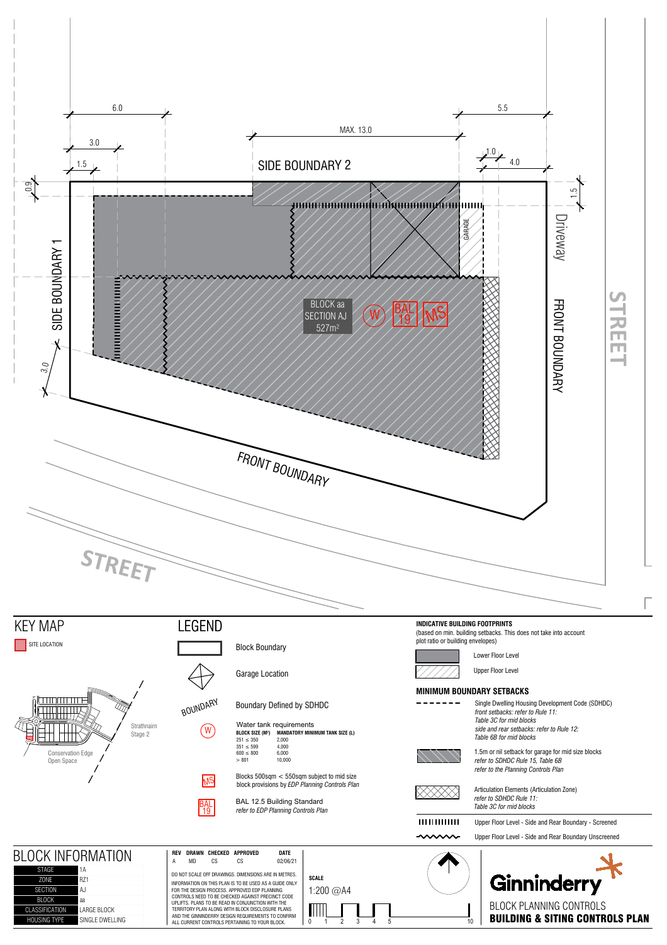